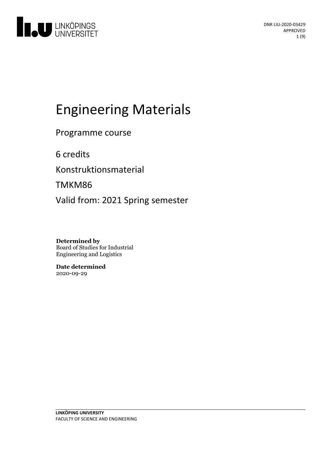

# Engineering Materials

Programme course

6 credits

Konstruktionsmaterial

TMKM86

Valid from: 2021 Spring semester

**Determined by** Board of Studies for Industrial Engineering and Logistics

**Date determined** 2020-09-29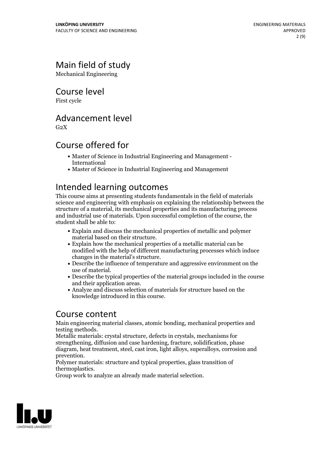# Main field of study

Mechanical Engineering

Course level

First cycle

# Advancement level

 $G<sub>2</sub>X$ 

# Course offered for

- Master of Science in Industrial Engineering and Management International
- Master of Science in Industrial Engineering and Management

# Intended learning outcomes

This course aims at presenting students fundamentals in the field of materials science and engineering with emphasis on explaining the relationship between the structure of a material, its mechanical properties and its manufacturing process and industrial use of materials. Upon successful completion of the course, the student shall be able to:

- Explain and discuss the mechanical properties of metallic and polymer
- Explain how the mechanical properties of a metallic material can be modified with the help of different manufacturing processes which induce changes in the material's structure.<br>• Describe the influence of temperature and aggressive environment on the
- 
- use of material.<br>  $\bullet$  Describe the typical properties of the material groups included in the course and their application areas.
- Analyze and discuss selection of materials for structure based on the knowledge introduced in this course.

# Course content

Main engineering material classes, atomic bonding, mechanical properties and

testing methods. Metallic materials: crystal structure, defects in crystals, mechanisms for strengthening, diffusion and case hardening, fracture, solidification, phase diagram, heat treatment, steel, cast iron, light alloys, superalloys, corrosion and prevention. Polymer materials: structure and typical properties, glass transition of

thermoplastics. Group work to analyze an already made material selection.

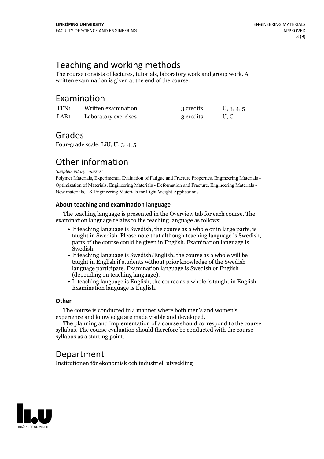# Teaching and working methods

The course consists of lectures, tutorials, laboratory work and group work. A written examination is given at the end of the course.

### Examination

| TEN1 | Written examination  | 3 credits | U, 3, 4, 5 |
|------|----------------------|-----------|------------|
| LAB1 | Laboratory exercises | 3 credits | U.G        |

### Grades

Four-grade scale, LiU, U, 3, 4, 5

# Other information

*Supplementary courses:*

Polymer Materials, Experimental Evaluation of Fatigue and Fracture Properties, Engineering Materials - Optimization of Materials, Engineering Materials - Deformation and Fracture, Engineering Materials - New materials, LK Engineering Materials for Light Weight Applications

### **About teaching and examination language**

The teaching language is presented in the Overview tab for each course. The examination language relates to the teaching language as follows:

- If teaching language is Swedish, the course as a whole or in large parts, is parts of the course could be given in English. Examination language is Swedish
- $\bullet$  If teaching language is Swedish/English, the course as a whole will be taught in English if students without prior knowledge of the Swedish language participate. Examination language is Swedish or English
- $\bullet$  If teaching language is English, the course as a whole is taught in English. Examination language is English.

### **Other**

The course is conducted in a manner where both men's and women's

experience and knowledge are made visible and developed. The planning and implementation of <sup>a</sup> course should correspond to the course syllabus. The course evaluation should therefore be conducted with the course syllabus as a starting point.

# Department

Institutionen för ekonomisk och industriell utveckling

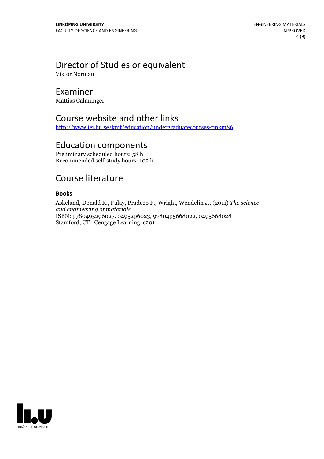# Director of Studies or equivalent

Viktor Norman

### Examiner

Mattias Calmunger

# Course website and other links

<http://www.iei.liu.se/kmt/education/undergraduatecourses-tmkm86>

# Education components

Preliminary scheduled hours: 58 h Recommended self-study hours: 102 h

# Course literature

### **Books**

Askeland, Donald R., Fulay, Pradeep P., Wright, Wendelin J., (2011) *The science and engineering of materials* ISBN: 9780495296027, 0495296023, 9780495668022, 0495668028 Stamford, CT : Cengage Learning, c2011

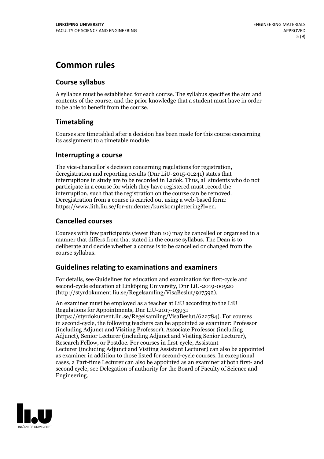# **Common rules**

### **Course syllabus**

A syllabus must be established for each course. The syllabus specifies the aim and contents of the course, and the prior knowledge that a student must have in order to be able to benefit from the course.

### **Timetabling**

Courses are timetabled after a decision has been made for this course concerning its assignment to a timetable module.

### **Interrupting a course**

The vice-chancellor's decision concerning regulations for registration, deregistration and reporting results (Dnr LiU-2015-01241) states that interruptions in study are to be recorded in Ladok. Thus, all students who do not participate in a course for which they have registered must record the interruption, such that the registration on the course can be removed. Deregistration from <sup>a</sup> course is carried outusing <sup>a</sup> web-based form: https://www.lith.liu.se/for-studenter/kurskomplettering?l=en.

### **Cancelled courses**

Courses with few participants (fewer than 10) may be cancelled or organised in a manner that differs from that stated in the course syllabus. The Dean is to deliberate and decide whether a course is to be cancelled or changed from the course syllabus.

### **Guidelines relatingto examinations and examiners**

For details, see Guidelines for education and examination for first-cycle and second-cycle education at Linköping University, Dnr LiU-2019-00920 (http://styrdokument.liu.se/Regelsamling/VisaBeslut/917592).

An examiner must be employed as a teacher at LiU according to the LiU Regulations for Appointments, Dnr LiU-2017-03931 (https://styrdokument.liu.se/Regelsamling/VisaBeslut/622784). For courses in second-cycle, the following teachers can be appointed as examiner: Professor (including Adjunct and Visiting Professor), Associate Professor (including Adjunct), Senior Lecturer (including Adjunct and Visiting Senior Lecturer), Research Fellow, or Postdoc. For courses in first-cycle, Assistant Lecturer (including Adjunct and Visiting Assistant Lecturer) can also be appointed as examiner in addition to those listed for second-cycle courses. In exceptional cases, a Part-time Lecturer can also be appointed as an examiner at both first- and second cycle, see Delegation of authority for the Board of Faculty of Science and Engineering.

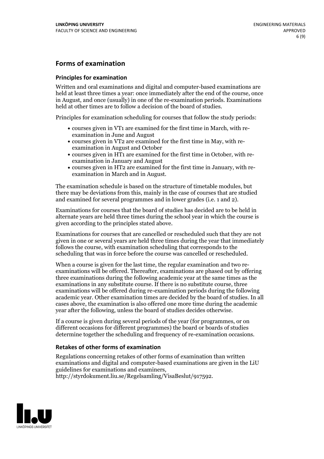### **Forms of examination**

### **Principles for examination**

Written and oral examinations and digital and computer-based examinations are held at least three times a year: once immediately after the end of the course, once in August, and once (usually) in one of the re-examination periods. Examinations held at other times are to follow a decision of the board of studies.

Principles for examination scheduling for courses that follow the study periods:

- courses given in VT1 are examined for the first time in March, with re-examination in June and August
- courses given in VT2 are examined for the first time in May, with re-examination in August and October
- courses given in HT1 are examined for the first time in October, with re-examination in January and August
- courses given in HT2 are examined for the first time in January, with re-examination in March and in August.

The examination schedule is based on the structure of timetable modules, but there may be deviations from this, mainly in the case of courses that are studied and examined for several programmes and in lower grades (i.e. 1 and 2).

Examinations for courses that the board of studies has decided are to be held in alternate years are held three times during the school year in which the course is given according to the principles stated above.

Examinations for courses that are cancelled orrescheduled such that they are not given in one or several years are held three times during the year that immediately follows the course, with examination scheduling that corresponds to the scheduling that was in force before the course was cancelled or rescheduled.

When a course is given for the last time, the regular examination and two re-<br>examinations will be offered. Thereafter, examinations are phased out by offering three examinations during the following academic year at the same times as the examinations in any substitute course. If there is no substitute course, three examinations will be offered during re-examination periods during the following academic year. Other examination times are decided by the board of studies. In all cases above, the examination is also offered one more time during the academic year after the following, unless the board of studies decides otherwise.

If a course is given during several periods of the year (for programmes, or on different occasions for different programmes) the board or boards of studies determine together the scheduling and frequency of re-examination occasions.

### **Retakes of other forms of examination**

Regulations concerning retakes of other forms of examination than written examinations and digital and computer-based examinations are given in the LiU guidelines for examinations and examiners, http://styrdokument.liu.se/Regelsamling/VisaBeslut/917592.

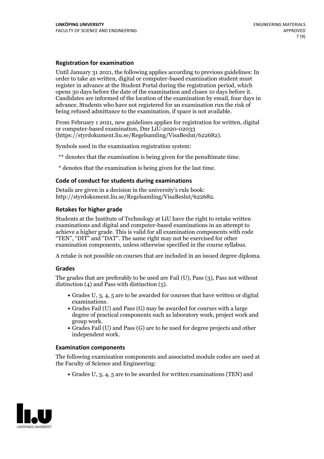### **Registration for examination**

Until January 31 2021, the following applies according to previous guidelines: In order to take an written, digital or computer-based examination student must register in advance at the Student Portal during the registration period, which Candidates are informed of the location of the examination by email, four days in advance. Students who have not registered for an examination run the risk of being refused admittance to the examination, if space is not available.

From February 1 2021, new guidelines applies for registration for written, digital or computer-based examination, Dnr LiU-2020-02033 (https://styrdokument.liu.se/Regelsamling/VisaBeslut/622682).

Symbols used in the examination registration system:

\*\* denotes that the examination is being given for the penultimate time.

\* denotes that the examination is being given for the last time.

### **Code of conduct for students during examinations**

Details are given in a decision in the university's rule book: http://styrdokument.liu.se/Regelsamling/VisaBeslut/622682.

### **Retakes for higher grade**

Students at the Institute of Technology at LiU have the right to retake written examinations and digital and computer-based examinations in an attempt to achieve a higher grade. This is valid for all examination components with code "TEN", "DIT" and "DAT". The same right may not be exercised for other examination components, unless otherwise specified in the course syllabus.

A retake is not possible on courses that are included in an issued degree diploma.

### **Grades**

The grades that are preferably to be used are Fail (U), Pass (3), Pass not without distinction  $(4)$  and Pass with distinction  $(5)$ .

- Grades U, 3, 4, 5 are to be awarded for courses that have written or digital examinations.<br>• Grades Fail (U) and Pass (G) may be awarded for courses with a large
- degree of practical components such as laboratory work, project work and
- $\bullet$  Grades Fail (U) and Pass (G) are to be used for degree projects and other independent work.

### **Examination components**

The following examination components and associated module codes are used at the Faculty of Science and Engineering:

Grades U, 3, 4, 5 are to be awarded for written examinations (TEN) and

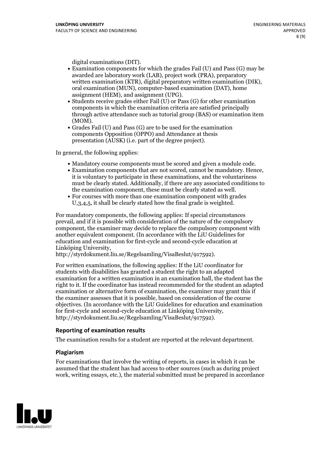- digital examinations (DIT).<br>• Examination components for which the grades Fail (U) and Pass (G) may be awarded are laboratory work (LAB), project work (PRA), preparatory written examination (KTR), digital preparatory written examination (DIK), oral examination (MUN), computer-based examination (DAT), home
- assignment (HEM), and assignment (UPG).<br>• Students receive grades either Fail (U) or Pass (G) for other examination components in which the examination criteria are satisfied principally through active attendance such as tutorial group (BAS) or examination item
- (MOM).<br>• Grades Fail (U) and Pass (G) are to be used for the examination components Opposition (OPPO) and Attendance at thesis presentation (AUSK) (i.e. part of the degree project).

In general, the following applies:

- 
- Mandatory course components must be scored and given <sup>a</sup> module code. Examination components that are not scored, cannot be mandatory. Hence, it is voluntary to participate in these examinations, and the voluntariness must be clearly stated. Additionally, if there are any associated conditions to the examination component, these must be clearly stated as well.<br>• For courses with more than one examination component with grades
- U,3,4,5, it shall be clearly stated how the final grade is weighted.

For mandatory components, the following applies: If special circumstances prevail, and if it is possible with consideration of the nature ofthe compulsory component, the examiner may decide to replace the compulsory component with another equivalent component. (In accordance with the LiU Guidelines for education and examination for first-cycle and second-cycle education at Linköping University, http://styrdokument.liu.se/Regelsamling/VisaBeslut/917592).

For written examinations, the following applies: If the LiU coordinator for students with disabilities has granted a student the right to an adapted examination for a written examination in an examination hall, the student has the right to it. If the coordinator has instead recommended for the student an adapted examination or alternative form of examination, the examiner may grant this if the examiner assesses that it is possible, based on consideration of the course objectives. (In accordance with the LiU Guidelines for education and examination for first-cycle and second-cycle education at Linköping University, http://styrdokument.liu.se/Regelsamling/VisaBeslut/917592).

### **Reporting of examination results**

The examination results for a student are reported at the relevant department.

### **Plagiarism**

For examinations that involve the writing of reports, in cases in which it can be assumed that the student has had access to other sources (such as during project work, writing essays, etc.), the material submitted must be prepared in accordance